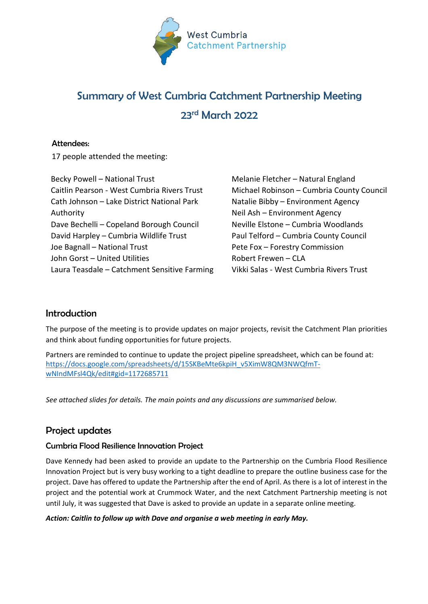

# Summary of West Cumbria Catchment Partnership Meeting 23rd March 2022

### Attendees:

17 people attended the meeting:

| Becky Powell - National Trust                |
|----------------------------------------------|
| Caitlin Pearson - West Cumbria Rivers Trust  |
| Cath Johnson - Lake District National Park   |
| Authority                                    |
| Dave Bechelli - Copeland Borough Council     |
| David Harpley - Cumbria Wildlife Trust       |
| Joe Bagnall - National Trust                 |
| John Gorst - United Utilities                |
| Laura Teasdale - Catchment Sensitive Farming |
|                                              |

Melanie Fletcher – Natural England Michael Robinson – Cumbria County Council Natalie Bibby – Environment Agency Neil Ash – Environment Agency Neville Elstone – Cumbria Woodlands Paul Telford – Cumbria County Council Pete Fox – Forestry Commission Robert Frewen – CLA Vikki Salas - West Cumbria Rivers Trust

# Introduction

The purpose of the meeting is to provide updates on major projects, revisit the Catchment Plan priorities and think about funding opportunities for future projects.

Partners are reminded to continue to update the project pipeline spreadsheet, which can be found at: [https://docs.google.com/spreadsheets/d/15SKBeMte6kpiH\\_v5XimW8QM3NWQfmT](https://docs.google.com/spreadsheets/d/15SKBeMte6kpiH_v5XimW8QM3NWQfmT-wNIndMFsl4Qk/edit#gid=1172685711)[wNIndMFsl4Qk/edit#gid=1172685711](https://docs.google.com/spreadsheets/d/15SKBeMte6kpiH_v5XimW8QM3NWQfmT-wNIndMFsl4Qk/edit#gid=1172685711)

*See attached slides for details. The main points and any discussions are summarised below.* 

# Project updates

### Cumbria Flood Resilience Innovation Project

Dave Kennedy had been asked to provide an update to the Partnership on the Cumbria Flood Resilience Innovation Project but is very busy working to a tight deadline to prepare the outline business case for the project. Dave has offered to update the Partnership after the end of April. As there is a lot of interest in the project and the potential work at Crummock Water, and the next Catchment Partnership meeting is not until July, it was suggested that Dave is asked to provide an update in a separate online meeting.

#### *Action: Caitlin to follow up with Dave and organise a web meeting in early May.*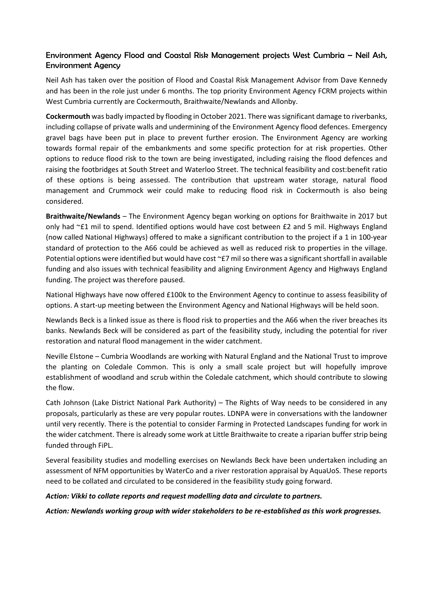### Environment Agency Flood and Coastal Risk Management projects West Cumbria – Neil Ash, Environment Agency

Neil Ash has taken over the position of Flood and Coastal Risk Management Advisor from Dave Kennedy and has been in the role just under 6 months. The top priority Environment Agency FCRM projects within West Cumbria currently are Cockermouth, Braithwaite/Newlands and Allonby.

**Cockermouth** was badly impacted by flooding in October 2021. There was significant damage to riverbanks, including collapse of private walls and undermining of the Environment Agency flood defences. Emergency gravel bags have been put in place to prevent further erosion. The Environment Agency are working towards formal repair of the embankments and some specific protection for at risk properties. Other options to reduce flood risk to the town are being investigated, including raising the flood defences and raising the footbridges at South Street and Waterloo Street. The technical feasibility and cost:benefit ratio of these options is being assessed. The contribution that upstream water storage, natural flood management and Crummock weir could make to reducing flood risk in Cockermouth is also being considered.

**Braithwaite/Newlands** – The Environment Agency began working on options for Braithwaite in 2017 but only had ~£1 mil to spend. Identified options would have cost between £2 and 5 mil. Highways England (now called National Highways) offered to make a significant contribution to the project if a 1 in 100-year standard of protection to the A66 could be achieved as well as reduced risk to properties in the village. Potential options were identified but would have cost  $E$ 7 mil so there was a significant shortfall in available funding and also issues with technical feasibility and aligning Environment Agency and Highways England funding. The project was therefore paused.

National Highways have now offered £100k to the Environment Agency to continue to assess feasibility of options. A start-up meeting between the Environment Agency and National Highways will be held soon.

Newlands Beck is a linked issue as there is flood risk to properties and the A66 when the river breaches its banks. Newlands Beck will be considered as part of the feasibility study, including the potential for river restoration and natural flood management in the wider catchment.

Neville Elstone – Cumbria Woodlands are working with Natural England and the National Trust to improve the planting on Coledale Common. This is only a small scale project but will hopefully improve establishment of woodland and scrub within the Coledale catchment, which should contribute to slowing the flow.

Cath Johnson (Lake District National Park Authority) – The Rights of Way needs to be considered in any proposals, particularly as these are very popular routes. LDNPA were in conversations with the landowner until very recently. There is the potential to consider Farming in Protected Landscapes funding for work in the wider catchment. There is already some work at Little Braithwaite to create a riparian buffer strip being funded through FiPL.

Several feasibility studies and modelling exercises on Newlands Beck have been undertaken including an assessment of NFM opportunities by WaterCo and a river restoration appraisal by AquaUoS. These reports need to be collated and circulated to be considered in the feasibility study going forward.

#### *Action: Vikki to collate reports and request modelling data and circulate to partners.*

*Action: Newlands working group with wider stakeholders to be re-established as this work progresses.*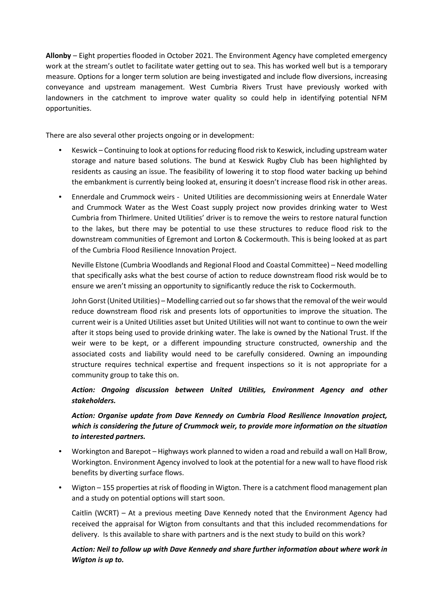**Allonby** – Eight properties flooded in October 2021. The Environment Agency have completed emergency work at the stream's outlet to facilitate water getting out to sea. This has worked well but is a temporary measure. Options for a longer term solution are being investigated and include flow diversions, increasing conveyance and upstream management. West Cumbria Rivers Trust have previously worked with landowners in the catchment to improve water quality so could help in identifying potential NFM opportunities.

There are also several other projects ongoing or in development:

- Keswick Continuing to look at options for reducing flood risk to Keswick, including upstream water storage and nature based solutions. The bund at Keswick Rugby Club has been highlighted by residents as causing an issue. The feasibility of lowering it to stop flood water backing up behind the embankment is currently being looked at, ensuring it doesn't increase flood risk in other areas.
- Ennerdale and Crummock weirs United Utilities are decommissioning weirs at Ennerdale Water and Crummock Water as the West Coast supply project now provides drinking water to West Cumbria from Thirlmere. United Utilities' driver is to remove the weirs to restore natural function to the lakes, but there may be potential to use these structures to reduce flood risk to the downstream communities of Egremont and Lorton & Cockermouth. This is being looked at as part of the Cumbria Flood Resilience Innovation Project.

Neville Elstone (Cumbria Woodlands and Regional Flood and Coastal Committee) – Need modelling that specifically asks what the best course of action to reduce downstream flood risk would be to ensure we aren't missing an opportunity to significantly reduce the risk to Cockermouth.

John Gorst (United Utilities) – Modelling carried out so far shows that the removal of the weir would reduce downstream flood risk and presents lots of opportunities to improve the situation. The current weir is a United Utilities asset but United Utilities will not want to continue to own the weir after it stops being used to provide drinking water. The lake is owned by the National Trust. If the weir were to be kept, or a different impounding structure constructed, ownership and the associated costs and liability would need to be carefully considered. Owning an impounding structure requires technical expertise and frequent inspections so it is not appropriate for a community group to take this on.

### *Action: Ongoing discussion between United Utilities, Environment Agency and other stakeholders.*

*Action: Organise update from Dave Kennedy on Cumbria Flood Resilience Innovation project, which is considering the future of Crummock weir, to provide more information on the situation to interested partners.* 

- Workington and Barepot Highways work planned to widen a road and rebuild a wall on Hall Brow, Workington. Environment Agency involved to look at the potential for a new wall to have flood risk benefits by diverting surface flows.
- Wigton 155 properties at risk of flooding in Wigton. There is a catchment flood management plan and a study on potential options will start soon.

Caitlin (WCRT) – At a previous meeting Dave Kennedy noted that the Environment Agency had received the appraisal for Wigton from consultants and that this included recommendations for delivery. Is this available to share with partners and is the next study to build on this work?

#### *Action: Neil to follow up with Dave Kennedy and share further information about where work in Wigton is up to.*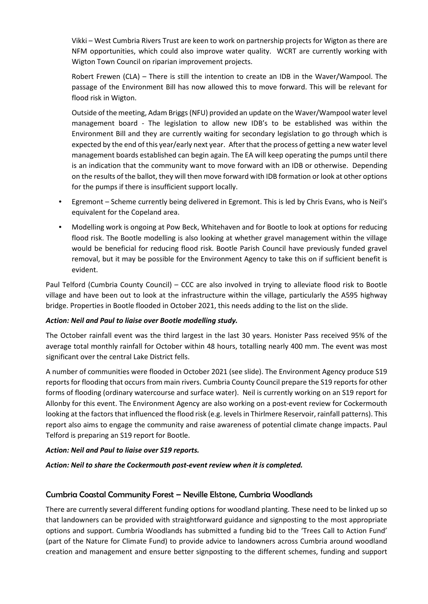Vikki – West Cumbria Rivers Trust are keen to work on partnership projects for Wigton as there are NFM opportunities, which could also improve water quality. WCRT are currently working with Wigton Town Council on riparian improvement projects.

Robert Frewen (CLA) – There is still the intention to create an IDB in the Waver/Wampool. The passage of the Environment Bill has now allowed this to move forward. This will be relevant for flood risk in Wigton.

Outside of the meeting, Adam Briggs (NFU) provided an update on the Waver/Wampool water level management board - The legislation to allow new IDB's to be established was within the Environment Bill and they are currently waiting for secondary legislation to go through which is expected by the end of this year/early next year. After that the process of getting a new water level management boards established can begin again. The EA will keep operating the pumps until there is an indication that the community want to move forward with an IDB or otherwise. Depending on the results of the ballot, they will then move forward with IDB formation or look at other options for the pumps if there is insufficient support locally.

- Egremont Scheme currently being delivered in Egremont. This is led by Chris Evans, who is Neil's equivalent for the Copeland area.
- Modelling work is ongoing at Pow Beck, Whitehaven and for Bootle to look at options for reducing flood risk. The Bootle modelling is also looking at whether gravel management within the village would be beneficial for reducing flood risk. Bootle Parish Council have previously funded gravel removal, but it may be possible for the Environment Agency to take this on if sufficient benefit is evident.

Paul Telford (Cumbria County Council) – CCC are also involved in trying to alleviate flood risk to Bootle village and have been out to look at the infrastructure within the village, particularly the A595 highway bridge. Properties in Bootle flooded in October 2021, this needs adding to the list on the slide.

#### *Action: Neil and Paul to liaise over Bootle modelling study.*

The October rainfall event was the third largest in the last 30 years. Honister Pass received 95% of the average total monthly rainfall for October within 48 hours, totalling nearly 400 mm. The event was most significant over the central Lake District fells.

A number of communities were flooded in October 2021 (see slide). The Environment Agency produce S19 reports for flooding that occurs from main rivers. Cumbria County Council prepare the S19 reports for other forms of flooding (ordinary watercourse and surface water). Neil is currently working on an S19 report for Allonby for this event. The Environment Agency are also working on a post-event review for Cockermouth looking at the factors that influenced the flood risk (e.g. levels in Thirlmere Reservoir, rainfall patterns). This report also aims to engage the community and raise awareness of potential climate change impacts. Paul Telford is preparing an S19 report for Bootle.

#### *Action: Neil and Paul to liaise over S19 reports.*

*Action: Neil to share the Cockermouth post-event review when it is completed.* 

#### Cumbria Coastal Community Forest – Neville Elstone, Cumbria Woodlands

There are currently several different funding options for woodland planting. These need to be linked up so that landowners can be provided with straightforward guidance and signposting to the most appropriate options and support. Cumbria Woodlands has submitted a funding bid to the 'Trees Call to Action Fund' (part of the Nature for Climate Fund) to provide advice to landowners across Cumbria around woodland creation and management and ensure better signposting to the different schemes, funding and support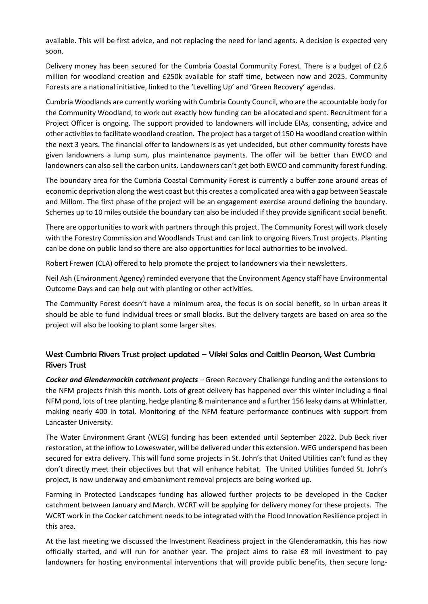available. This will be first advice, and not replacing the need for land agents. A decision is expected very soon.

Delivery money has been secured for the Cumbria Coastal Community Forest. There is a budget of £2.6 million for woodland creation and £250k available for staff time, between now and 2025. Community Forests are a national initiative, linked to the 'Levelling Up' and 'Green Recovery' agendas.

Cumbria Woodlands are currently working with Cumbria County Council, who are the accountable body for the Community Woodland, to work out exactly how funding can be allocated and spent. Recruitment for a Project Officer is ongoing. The support provided to landowners will include EIAs, consenting, advice and other activities to facilitate woodland creation. The project has a target of 150 Ha woodland creation within the next 3 years. The financial offer to landowners is as yet undecided, but other community forests have given landowners a lump sum, plus maintenance payments. The offer will be better than EWCO and landowners can also sell the carbon units. Landowners can't get both EWCO and community forest funding.

The boundary area for the Cumbria Coastal Community Forest is currently a buffer zone around areas of economic deprivation along the west coast but this creates a complicated area with a gap between Seascale and Millom. The first phase of the project will be an engagement exercise around defining the boundary. Schemes up to 10 miles outside the boundary can also be included if they provide significant social benefit.

There are opportunities to work with partners through this project. The Community Forest will work closely with the Forestry Commission and Woodlands Trust and can link to ongoing Rivers Trust projects. Planting can be done on public land so there are also opportunities for local authorities to be involved.

Robert Frewen (CLA) offered to help promote the project to landowners via their newsletters.

Neil Ash (Environment Agency) reminded everyone that the Environment Agency staff have Environmental Outcome Days and can help out with planting or other activities.

The Community Forest doesn't have a minimum area, the focus is on social benefit, so in urban areas it should be able to fund individual trees or small blocks. But the delivery targets are based on area so the project will also be looking to plant some larger sites.

### West Cumbria Rivers Trust project updated – Vikki Salas and Caitlin Pearson, West Cumbria Rivers Trust

*Cocker and Glendermackin catchment projects –* Green Recovery Challenge funding and the extensions to the NFM projects finish this month. Lots of great delivery has happened over this winter including a final NFM pond, lots of tree planting, hedge planting & maintenance and a further 156 leaky dams at Whinlatter, making nearly 400 in total. Monitoring of the NFM feature performance continues with support from Lancaster University.

The Water Environment Grant (WEG) funding has been extended until September 2022. Dub Beck river restoration, at the inflow to Loweswater, will be delivered under this extension. WEG underspend has been secured for extra delivery. This will fund some projects in St. John's that United Utilities can't fund as they don't directly meet their objectives but that will enhance habitat. The United Utilities funded St. John's project, is now underway and embankment removal projects are being worked up.

Farming in Protected Landscapes funding has allowed further projects to be developed in the Cocker catchment between January and March. WCRT will be applying for delivery money for these projects. The WCRT work in the Cocker catchment needs to be integrated with the Flood Innovation Resilience project in this area.

At the last meeting we discussed the Investment Readiness project in the Glenderamackin, this has now officially started, and will run for another year. The project aims to raise £8 mil investment to pay landowners for hosting environmental interventions that will provide public benefits, then secure long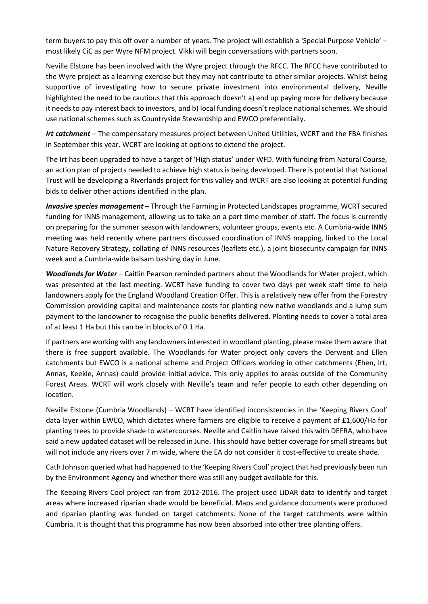term buyers to pay this off over a number of years. The project will establish a 'Special Purpose Vehicle' – most likely CiC as per Wyre NFM project. Vikki will begin conversations with partners soon.

Neville Elstone has been involved with the Wyre project through the RFCC. The RFCC have contributed to the Wyre project as a learning exercise but they may not contribute to other similar projects. Whilst being supportive of investigating how to secure private investment into environmental delivery, Neville highlighted the need to be cautious that this approach doesn't a) end up paying more for delivery because it needs to pay interest back to investors, and b) local funding doesn't replace national schemes. We should use national schemes such as Countryside Stewardship and EWCO preferentially.

*Irt catchment* – The compensatory measures project between United Utilities, WCRT and the FBA finishes in September this year. WCRT are looking at options to extend the project.

The Irt has been upgraded to have a target of 'High status' under WFD. With funding from Natural Course, an action plan of projects needed to achieve high status is being developed. There is potential that National Trust will be developing a Riverlands project for this valley and WCRT are also looking at potential funding bids to deliver other actions identified in the plan.

*Invasive species management –* Through the Farming in Protected Landscapes programme, WCRT secured funding for INNS management, allowing us to take on a part time member of staff. The focus is currently on preparing for the summer season with landowners, volunteer groups, events etc. A Cumbria-wide INNS meeting was held recently where partners discussed coordination of INNS mapping, linked to the Local Nature Recovery Strategy, collating of INNS resources (leaflets etc.), a joint biosecurity campaign for INNS week and a Cumbria-wide balsam bashing day in June.

*Woodlands for Water –* Caitlin Pearson reminded partners about the Woodlands for Water project, which was presented at the last meeting. WCRT have funding to cover two days per week staff time to help landowners apply for the England Woodland Creation Offer. This is a relatively new offer from the Forestry Commission providing capital and maintenance costs for planting new native woodlands and a lump sum payment to the landowner to recognise the public benefits delivered. Planting needs to cover a total area of at least 1 Ha but this can be in blocks of 0.1 Ha.

If partners are working with any landowners interested in woodland planting, please make them aware that there is free support available. The Woodlands for Water project only covers the Derwent and Ellen catchments but EWCO is a national scheme and Project Officers working in other catchments (Ehen, Irt, Annas, Keekle, Annas) could provide initial advice. This only applies to areas outside of the Community Forest Areas. WCRT will work closely with Neville's team and refer people to each other depending on location.

Neville Elstone (Cumbria Woodlands) – WCRT have identified inconsistencies in the 'Keeping Rivers Cool' data layer within EWCO, which dictates where farmers are eligible to receive a payment of £1,600/Ha for planting trees to provide shade to watercourses. Neville and Caitlin have raised this with DEFRA, who have said a new updated dataset will be released in June. This should have better coverage for small streams but will not include any rivers over 7 m wide, where the EA do not consider it cost-effective to create shade.

Cath Johnson queried what had happened to the 'Keeping Rivers Cool' project that had previously been run by the Environment Agency and whether there was still any budget available for this.

The Keeping Rivers Cool project ran from 2012-2016. The project used LiDAR data to identify and target areas where increased riparian shade would be beneficial. Maps and guidance documents were produced and riparian planting was funded on target catchments. None of the target catchments were within Cumbria. It is thought that this programme has now been absorbed into other tree planting offers.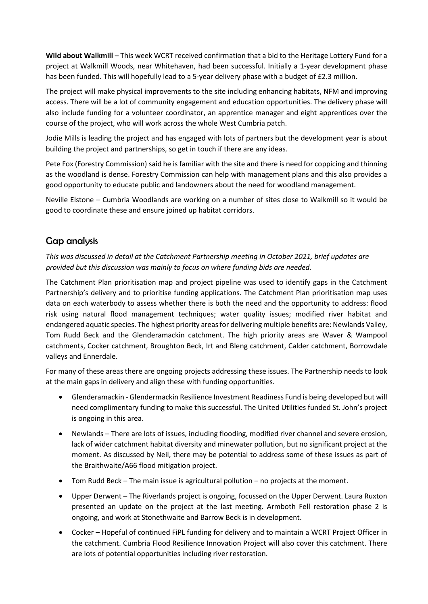**Wild about Walkmill** – This week WCRT received confirmation that a bid to the Heritage Lottery Fund for a project at Walkmill Woods, near Whitehaven, had been successful. Initially a 1-year development phase has been funded. This will hopefully lead to a 5-year delivery phase with a budget of £2.3 million.

The project will make physical improvements to the site including enhancing habitats, NFM and improving access. There will be a lot of community engagement and education opportunities. The delivery phase will also include funding for a volunteer coordinator, an apprentice manager and eight apprentices over the course of the project, who will work across the whole West Cumbria patch.

Jodie Mills is leading the project and has engaged with lots of partners but the development year is about building the project and partnerships, so get in touch if there are any ideas.

Pete Fox (Forestry Commission) said he is familiar with the site and there is need for coppicing and thinning as the woodland is dense. Forestry Commission can help with management plans and this also provides a good opportunity to educate public and landowners about the need for woodland management.

Neville Elstone – Cumbria Woodlands are working on a number of sites close to Walkmill so it would be good to coordinate these and ensure joined up habitat corridors.

# Gap analysis

*This was discussed in detail at the Catchment Partnership meeting in October 2021, brief updates are provided but this discussion was mainly to focus on where funding bids are needed.* 

The Catchment Plan prioritisation map and project pipeline was used to identify gaps in the Catchment Partnership's delivery and to prioritise funding applications. The Catchment Plan prioritisation map uses data on each waterbody to assess whether there is both the need and the opportunity to address: flood risk using natural flood management techniques; water quality issues; modified river habitat and endangered aquatic species. The highest priority areas for delivering multiple benefits are: Newlands Valley, Tom Rudd Beck and the Glenderamackin catchment. The high priority areas are Waver & Wampool catchments, Cocker catchment, Broughton Beck, Irt and Bleng catchment, Calder catchment, Borrowdale valleys and Ennerdale.

For many of these areas there are ongoing projects addressing these issues. The Partnership needs to look at the main gaps in delivery and align these with funding opportunities.

- Glenderamackin Glendermackin Resilience Investment Readiness Fund is being developed but will need complimentary funding to make this successful. The United Utilities funded St. John's project is ongoing in this area.
- Newlands There are lots of issues, including flooding, modified river channel and severe erosion, lack of wider catchment habitat diversity and minewater pollution, but no significant project at the moment. As discussed by Neil, there may be potential to address some of these issues as part of the Braithwaite/A66 flood mitigation project.
- Tom Rudd Beck The main issue is agricultural pollution no projects at the moment.
- Upper Derwent The Riverlands project is ongoing, focussed on the Upper Derwent. Laura Ruxton presented an update on the project at the last meeting. Armboth Fell restoration phase 2 is ongoing, and work at Stonethwaite and Barrow Beck is in development.
- Cocker Hopeful of continued FiPL funding for delivery and to maintain a WCRT Project Officer in the catchment. Cumbria Flood Resilience Innovation Project will also cover this catchment. There are lots of potential opportunities including river restoration.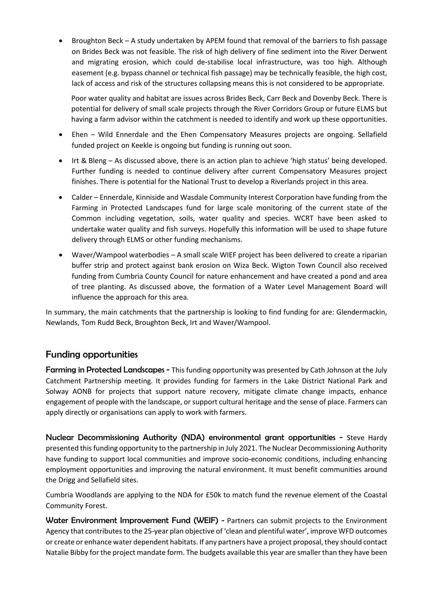• Broughton Beck – A study undertaken by APEM found that removal of the barriers to fish passage on Brides Beck was not feasible. The risk of high delivery of fine sediment into the River Derwent and migrating erosion, which could de-stabilise local infrastructure, was too high. Although easement (e.g. bypass channel or technical fish passage) may be technically feasible, the high cost, lack of access and risk of the structures collapsing means this is not considered to be appropriate.

Poor water quality and habitat are issues across Brides Beck, Carr Beck and Dovenby Beck. There is potential for delivery of small scale projects through the River Corridors Group or future ELMS but having a farm advisor within the catchment is needed to identify and work up these opportunities.

- Ehen Wild Ennerdale and the Ehen Compensatory Measures projects are ongoing. Sellafield funded project on Keekle is ongoing but funding is running out soon.
- Irt & Bleng As discussed above, there is an action plan to achieve 'high status' being developed. Further funding is needed to continue delivery after current Compensatory Measures project finishes. There is potential for the National Trust to develop a Riverlands project in this area.
- Calder Ennerdale, Kinniside and Wasdale Community Interest Corporation have funding from the Farming in Protected Landscapes fund for large scale monitoring of the current state of the Common including vegetation, soils, water quality and species. WCRT have been asked to undertake water quality and fish surveys. Hopefully this information will be used to shape future delivery through ELMS or other funding mechanisms.
- Waver/Wampool waterbodies A small scale WIEF project has been delivered to create a riparian buffer strip and protect against bank erosion on Wiza Beck. Wigton Town Council also received funding from Cumbria County Council for nature enhancement and have created a pond and area of tree planting. As discussed above, the formation of a Water Level Management Board will influence the approach for this area.

In summary, the main catchments that the partnership is looking to find funding for are: Glendermackin, Newlands, Tom Rudd Beck, Broughton Beck, Irt and Waver/Wampool.

# Funding opportunities

Farming in Protected Landscapes - This funding opportunity was presented by Cath Johnson at the July Catchment Partnership meeting. It provides funding for farmers in the Lake District National Park and Solway AONB for projects that support nature recovery, mitigate climate change impacts, enhance engagement of people with the landscape, or support cultural heritage and the sense of place. Farmers can apply directly or organisations can apply to work with farmers.

Nuclear Decommissioning Authority (NDA) environmental grant opportunities - Steve Hardy presented this funding opportunity to the partnership in July 2021. The Nuclear Decommissioning Authority have funding to support local communities and improve socio-economic conditions, including enhancing employment opportunities and improving the natural environment. It must benefit communities around the Drigg and Sellafield sites.

Cumbria Woodlands are applying to the NDA for £50k to match fund the revenue element of the Coastal Community Forest.

Water Environment Improvement Fund (WEIF) - Partners can submit projects to the Environment Agency that contributes to the 25-year plan objective of 'clean and plentiful water', improve WFD outcomes or create or enhance water dependent habitats. If any partners have a project proposal, they should contact Natalie Bibby for the project mandate form. The budgets available this year are smaller than they have been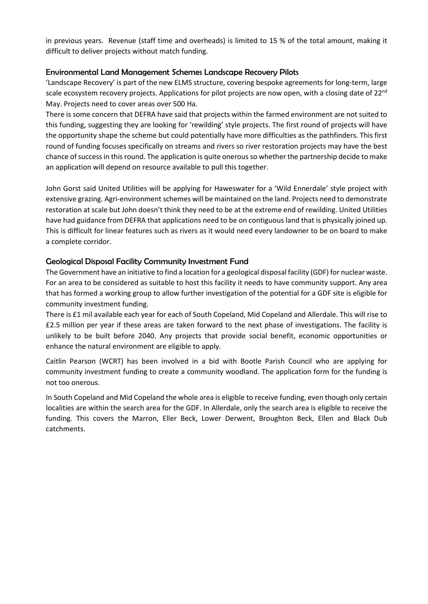in previous years. Revenue (staff time and overheads) is limited to 15 % of the total amount, making it difficult to deliver projects without match funding.

#### Environmental Land Management Schemes Landscape Recovery Pilots

'Landscape Recovery' is part of the new ELMS structure, covering bespoke agreements for long-term, large scale ecosystem recovery projects. Applications for pilot projects are now open, with a closing date of 22<sup>nd</sup> May. Projects need to cover areas over 500 Ha.

There is some concern that DEFRA have said that projects within the farmed environment are not suited to this funding, suggesting they are looking for 'rewilding' style projects. The first round of projects will have the opportunity shape the scheme but could potentially have more difficulties as the pathfinders. This first round of funding focuses specifically on streams and rivers so river restoration projects may have the best chance of success in this round. The application is quite onerous so whether the partnership decide to make an application will depend on resource available to pull this together.

John Gorst said United Utilities will be applying for Haweswater for a 'Wild Ennerdale' style project with extensive grazing. Agri-environment schemes will be maintained on the land. Projects need to demonstrate restoration at scale but John doesn't think they need to be at the extreme end of rewilding. United Utilities have had guidance from DEFRA that applications need to be on contiguous land that is physically joined up. This is difficult for linear features such as rivers as it would need every landowner to be on board to make a complete corridor.

#### Geological Disposal Facility Community Investment Fund

The Government have an initiative to find a location for a geological disposal facility (GDF) for nuclear waste. For an area to be considered as suitable to host this facility it needs to have community support. Any area that has formed a working group to allow further investigation of the potential for a GDF site is eligible for community investment funding.

There is £1 mil available each year for each of South Copeland, Mid Copeland and Allerdale. This will rise to £2.5 million per year if these areas are taken forward to the next phase of investigations. The facility is unlikely to be built before 2040. Any projects that provide social benefit, economic opportunities or enhance the natural environment are eligible to apply.

Caitlin Pearson (WCRT) has been involved in a bid with Bootle Parish Council who are applying for community investment funding to create a community woodland. The application form for the funding is not too onerous.

In South Copeland and Mid Copeland the whole area is eligible to receive funding, even though only certain localities are within the search area for the GDF. In Allerdale, only the search area is eligible to receive the funding. This covers the Marron, Eller Beck, Lower Derwent, Broughton Beck, Ellen and Black Dub catchments.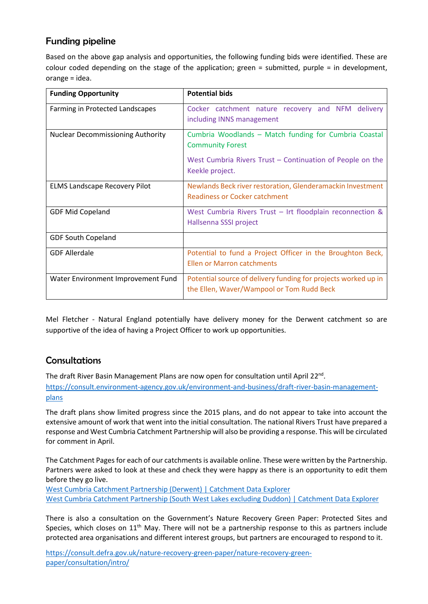# Funding pipeline

Based on the above gap analysis and opportunities, the following funding bids were identified. These are colour coded depending on the stage of the application; green = submitted, purple = in development, orange = idea.

| <b>Funding Opportunity</b>               | <b>Potential bids</b>                                                                                                                                            |
|------------------------------------------|------------------------------------------------------------------------------------------------------------------------------------------------------------------|
| Farming in Protected Landscapes          | Cocker catchment nature recovery and NFM delivery<br>including INNS management                                                                                   |
| <b>Nuclear Decommissioning Authority</b> | Cumbria Woodlands - Match funding for Cumbria Coastal<br><b>Community Forest</b><br>West Cumbria Rivers Trust – Continuation of People on the<br>Keekle project. |
| <b>ELMS Landscape Recovery Pilot</b>     | Newlands Beck river restoration, Glenderamackin Investment<br>Readiness or Cocker catchment                                                                      |
| <b>GDF Mid Copeland</b>                  | West Cumbria Rivers Trust - Irt floodplain reconnection &<br>Hallsenna SSSI project                                                                              |
| <b>GDF South Copeland</b>                |                                                                                                                                                                  |
| <b>GDF Allerdale</b>                     | Potential to fund a Project Officer in the Broughton Beck,<br>Ellen or Marron catchments                                                                         |
| Water Environment Improvement Fund       | Potential source of delivery funding for projects worked up in<br>the Ellen, Waver/Wampool or Tom Rudd Beck                                                      |

Mel Fletcher - Natural England potentially have delivery money for the Derwent catchment so are supportive of the idea of having a Project Officer to work up opportunities.

# **Consultations**

The draft River Basin Management Plans are now open for consultation until April  $22^{nd}$ . [https://consult.environment-agency.gov.uk/environment-and-business/draft-river-basin-management](https://consult.environment-agency.gov.uk/environment-and-business/draft-river-basin-management-plans)[plans](https://consult.environment-agency.gov.uk/environment-and-business/draft-river-basin-management-plans) 

The draft plans show limited progress since the 2015 plans, and do not appear to take into account the extensive amount of work that went into the initial consultation. The national Rivers Trust have prepared a response and West Cumbria Catchment Partnership will also be providing a response. This will be circulated for comment in April.

The Catchment Pages for each of our catchments is available online. These were written by the Partnership. Partners were asked to look at these and check they were happy as there is an opportunity to edit them before they go live.

[West Cumbria Catchment Partnership \(Derwent\) | Catchment Data Explorer](https://environment.data.gov.uk/catchment-planning/v/c3-draft-plan/CatchmentPartnership/WEIF1701) [West Cumbria Catchment Partnership \(South West Lakes excluding Duddon\) | Catchment Data Explorer](https://environment.data.gov.uk/catchment-planning/v/c3-draft-plan/CatchmentPartnership/WEIF6701)

There is also a consultation on the Government's Nature Recovery Green Paper: Protected Sites and Species, which closes on  $11<sup>th</sup>$  May. There will not be a partnership response to this as partners include protected area organisations and different interest groups, but partners are encouraged to respond to it.